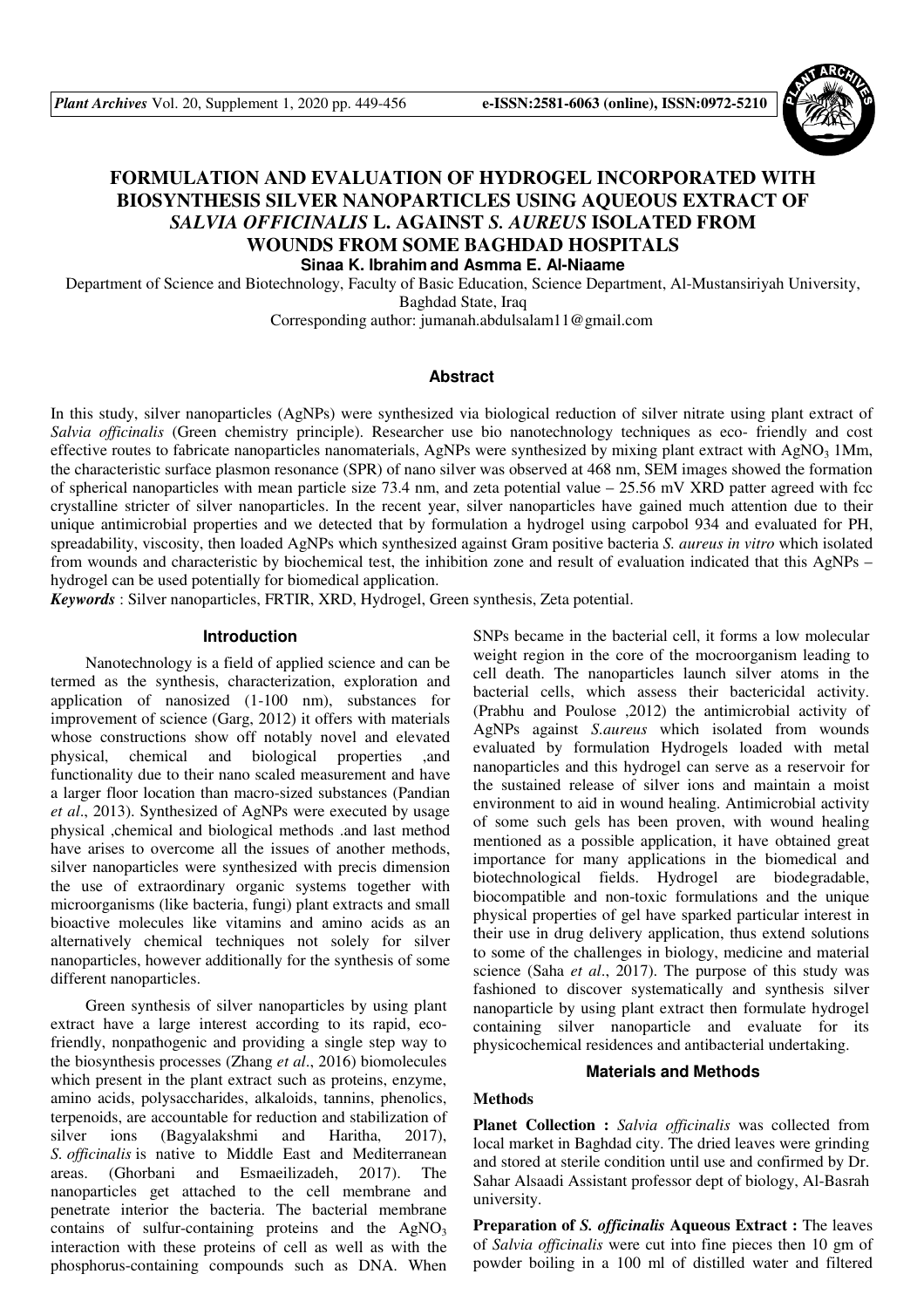

# **FORMULATION AND EVALUATION OF HYDROGEL INCORPORATED WITH BIOSYNTHESIS SILVER NANOPARTICLES USING AQUEOUS EXTRACT OF**  *SALVIA OFFICINALIS* **L. AGAINST** *S. AUREUS* **ISOLATED FROM WOUNDS FROM SOME BAGHDAD HOSPITALS Sinaa K. Ibrahim and Asmma E. Al-Niaame**

Department of Science and Biotechnology, Faculty of Basic Education, Science Department, Al-Mustansiriyah University, Baghdad State, Iraq

Corresponding author: jumanah.abdulsalam11@gmail.com

#### **Abstract**

In this study, silver nanoparticles (AgNPs) were synthesized via biological reduction of silver nitrate using plant extract of *Salvia officinalis* (Green chemistry principle). Researcher use bio nanotechnology techniques as eco- friendly and cost effective routes to fabricate nanoparticles nanomaterials, AgNPs were synthesized by mixing plant extract with AgNO<sub>3</sub> 1Mm, the characteristic surface plasmon resonance (SPR) of nano silver was observed at 468 nm, SEM images showed the formation of spherical nanoparticles with mean particle size 73.4 nm, and zeta potential value  $-25.56$  mV XRD patter agreed with fcc crystalline stricter of silver nanoparticles. In the recent year, silver nanoparticles have gained much attention due to their unique antimicrobial properties and we detected that by formulation a hydrogel using carpobol 934 and evaluated for PH, spreadability, viscosity, then loaded AgNPs which synthesized against Gram positive bacteria *S. aureus in vitro* which isolated from wounds and characteristic by biochemical test, the inhibition zone and result of evaluation indicated that this AgNPs – hydrogel can be used potentially for biomedical application.

*Keywords* : Silver nanoparticles, FRTIR, XRD, Hydrogel, Green synthesis, Zeta potential.

#### **Introduction**

Nanotechnology is a field of applied science and can be termed as the synthesis, characterization, exploration and application of nanosized (1-100 nm), substances for improvement of science (Garg, 2012) it offers with materials whose constructions show off notably novel and elevated physical, chemical and biological properties ,and functionality due to their nano scaled measurement and have a larger floor location than macro-sized substances (Pandian *et al*., 2013). Synthesized of AgNPs were executed by usage physical ,chemical and biological methods .and last method have arises to overcome all the issues of another methods, silver nanoparticles were synthesized with precis dimension the use of extraordinary organic systems together with microorganisms (like bacteria, fungi) plant extracts and small bioactive molecules like vitamins and amino acids as an alternatively chemical techniques not solely for silver nanoparticles, however additionally for the synthesis of some different nanoparticles.

Green synthesis of silver nanoparticles by using plant extract have a large interest according to its rapid, ecofriendly, nonpathogenic and providing a single step way to the biosynthesis processes (Zhang *et al*., 2016) biomolecules which present in the plant extract such as proteins, enzyme, amino acids, polysaccharides, alkaloids, tannins, phenolics, terpenoids, are accountable for reduction and stabilization of silver ions (Bagyalakshmi and Haritha, 2017), *S. officinalis* is native to Middle East and Mediterranean areas. (Ghorbani and Esmaeilizadeh, 2017). The nanoparticles get attached to the cell membrane and penetrate interior the bacteria. The bacterial membrane contains of sulfur-containing proteins and the  $AgNO<sub>3</sub>$ interaction with these proteins of cell as well as with the phosphorus-containing compounds such as DNA. When

SNPs became in the bacterial cell, it forms a low molecular weight region in the core of the mocroorganism leading to cell death. The nanoparticles launch silver atoms in the bacterial cells, which assess their bactericidal activity. (Prabhu and Poulose ,2012) the antimicrobial activity of AgNPs against *S.aureus* which isolated from wounds evaluated by formulation Hydrogels loaded with metal nanoparticles and this hydrogel can serve as a reservoir for the sustained release of silver ions and maintain a moist environment to aid in wound healing. Antimicrobial activity of some such gels has been proven, with wound healing mentioned as a possible application, it have obtained great importance for many applications in the biomedical and biotechnological fields. Hydrogel are biodegradable, biocompatible and non-toxic formulations and the unique physical properties of gel have sparked particular interest in their use in drug delivery application, thus extend solutions to some of the challenges in biology, medicine and material science (Saha *et al*., 2017). The purpose of this study was fashioned to discover systematically and synthesis silver nanoparticle by using plant extract then formulate hydrogel containing silver nanoparticle and evaluate for its physicochemical residences and antibacterial undertaking.

#### **Materials and Methods**

## **Methods**

**Planet Collection :** *Salvia officinalis* was collected from local market in Baghdad city. The dried leaves were grinding and stored at sterile condition until use and confirmed by Dr. Sahar Alsaadi Assistant professor dept of biology, Al-Basrah university.

**Preparation of** *S. officinalis* **Aqueous Extract :** The leaves of *Salvia officinalis* were cut into fine pieces then 10 gm of powder boiling in a 100 ml of distilled water and filtered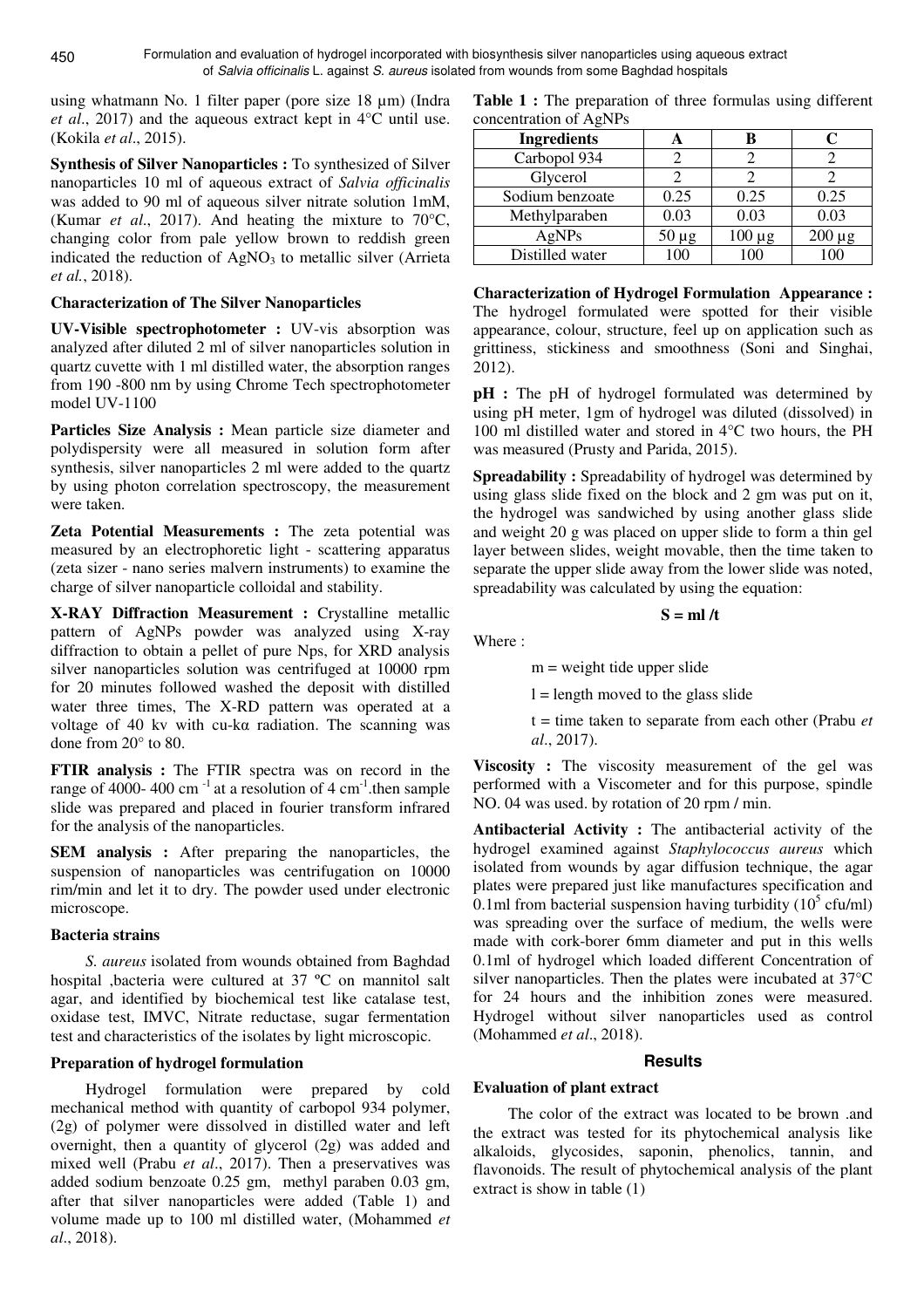using whatmann No. 1 filter paper (pore size 18 µm) (Indra *et al*., 2017) and the aqueous extract kept in 4°C until use. (Kokila *et al*., 2015).

**Synthesis of Silver Nanoparticles :** To synthesized of Silver nanoparticles 10 ml of aqueous extract of *Salvia officinalis* was added to 90 ml of aqueous silver nitrate solution 1mM, (Kumar *et al*., 2017). And heating the mixture to 70°C, changing color from pale yellow brown to reddish green indicated the reduction of  $AgNO<sub>3</sub>$  to metallic silver (Arrieta *et al.*, 2018).

## **Characterization of The Silver Nanoparticles**

**UV-Visible spectrophotometer :** UV-vis absorption was analyzed after diluted 2 ml of silver nanoparticles solution in quartz cuvette with 1 ml distilled water, the absorption ranges from 190 -800 nm by using Chrome Tech spectrophotometer model UV-1100

**Particles Size Analysis :** Mean particle size diameter and polydispersity were all measured in solution form after synthesis, silver nanoparticles 2 ml were added to the quartz by using photon correlation spectroscopy, the measurement were taken.

**Zeta Potential Measurements :** The zeta potential was measured by an electrophoretic light - scattering apparatus (zeta sizer - nano series malvern instruments) to examine the charge of silver nanoparticle colloidal and stability.

**X-RAY Diffraction Measurement :** Crystalline metallic pattern of AgNPs powder was analyzed using X-ray diffraction to obtain a pellet of pure Nps, for XRD analysis silver nanoparticles solution was centrifuged at 10000 rpm for 20 minutes followed washed the deposit with distilled water three times, The X-RD pattern was operated at a voltage of 40 kv with cu-kα radiation. The scanning was done from 20° to 80.

**FTIR analysis :** The FTIR spectra was on record in the range of 4000- 400 cm<sup>-1</sup> at a resolution of 4 cm<sup>-1</sup>, then sample slide was prepared and placed in fourier transform infrared for the analysis of the nanoparticles.

**SEM** analysis : After preparing the nanoparticles, the suspension of nanoparticles was centrifugation on 10000 rim/min and let it to dry. The powder used under electronic microscope.

## **Bacteria strains**

*S. aureus* isolated from wounds obtained from Baghdad hospital ,bacteria were cultured at 37 ºC on mannitol salt agar, and identified by biochemical test like catalase test, oxidase test, IMVC, Nitrate reductase, sugar fermentation test and characteristics of the isolates by light microscopic.

## **Preparation of hydrogel formulation**

Hydrogel formulation were prepared by cold mechanical method with quantity of carbopol 934 polymer, (2g) of polymer were dissolved in distilled water and left overnight, then a quantity of glycerol (2g) was added and mixed well (Prabu *et al*., 2017). Then a preservatives was added sodium benzoate 0.25 gm, methyl paraben 0.03 gm, after that silver nanoparticles were added (Table 1) and volume made up to 100 ml distilled water, (Mohammed *et al*., 2018).

|                        | <b>Table 1:</b> The preparation of three formulas using different |  |  |
|------------------------|-------------------------------------------------------------------|--|--|
| concentration of AgNPs |                                                                   |  |  |

| <b>Ingredients</b> |            |         |      |
|--------------------|------------|---------|------|
| Carbopol 934       |            |         |      |
| Glycerol           |            |         |      |
| Sodium benzoate    | 0.25       | 0.25    | 0.25 |
| Methylparaben      | 0.03       | 0.03    | 0.03 |
| AgNPs              | $50 \mu g$ | $\mu$ g |      |
| Distilled water    |            |         |      |

**Characterization of Hydrogel Formulation Appearance :**  The hydrogel formulated were spotted for their visible appearance, colour, structure, feel up on application such as grittiness, stickiness and smoothness (Soni and Singhai, 2012).

**pH** : The pH of hydrogel formulated was determined by using pH meter, 1gm of hydrogel was diluted (dissolved) in 100 ml distilled water and stored in 4°C two hours, the PH was measured (Prusty and Parida, 2015).

**Spreadability :** Spreadability of hydrogel was determined by using glass slide fixed on the block and 2 gm was put on it, the hydrogel was sandwiched by using another glass slide and weight 20 g was placed on upper slide to form a thin gel layer between slides, weight movable, then the time taken to separate the upper slide away from the lower slide was noted, spreadability was calculated by using the equation:

## $S = mI/t$

Where :

 $m$  = weight tide upper slide

 $l =$  length moved to the glass slide

t = time taken to separate from each other (Prabu *et al*., 2017).

**Viscosity**: The viscosity measurement of the gel was performed with a Viscometer and for this purpose, spindle NO. 04 was used. by rotation of 20 rpm / min.

**Antibacterial Activity :** The antibacterial activity of the hydrogel examined against *Staphylococcus aureus* which isolated from wounds by agar diffusion technique, the agar plates were prepared just like manufactures specification and 0.1ml from bacterial suspension having turbidity  $(10^5 \text{ cft/ml})$ was spreading over the surface of medium, the wells were made with cork-borer 6mm diameter and put in this wells 0.1ml of hydrogel which loaded different Concentration of silver nanoparticles. Then the plates were incubated at 37°C for 24 hours and the inhibition zones were measured. Hydrogel without silver nanoparticles used as control (Mohammed *et al*., 2018).

## **Results**

## **Evaluation of plant extract**

The color of the extract was located to be brown .and the extract was tested for its phytochemical analysis like alkaloids, glycosides, saponin, phenolics, tannin, and flavonoids. The result of phytochemical analysis of the plant extract is show in table (1)

450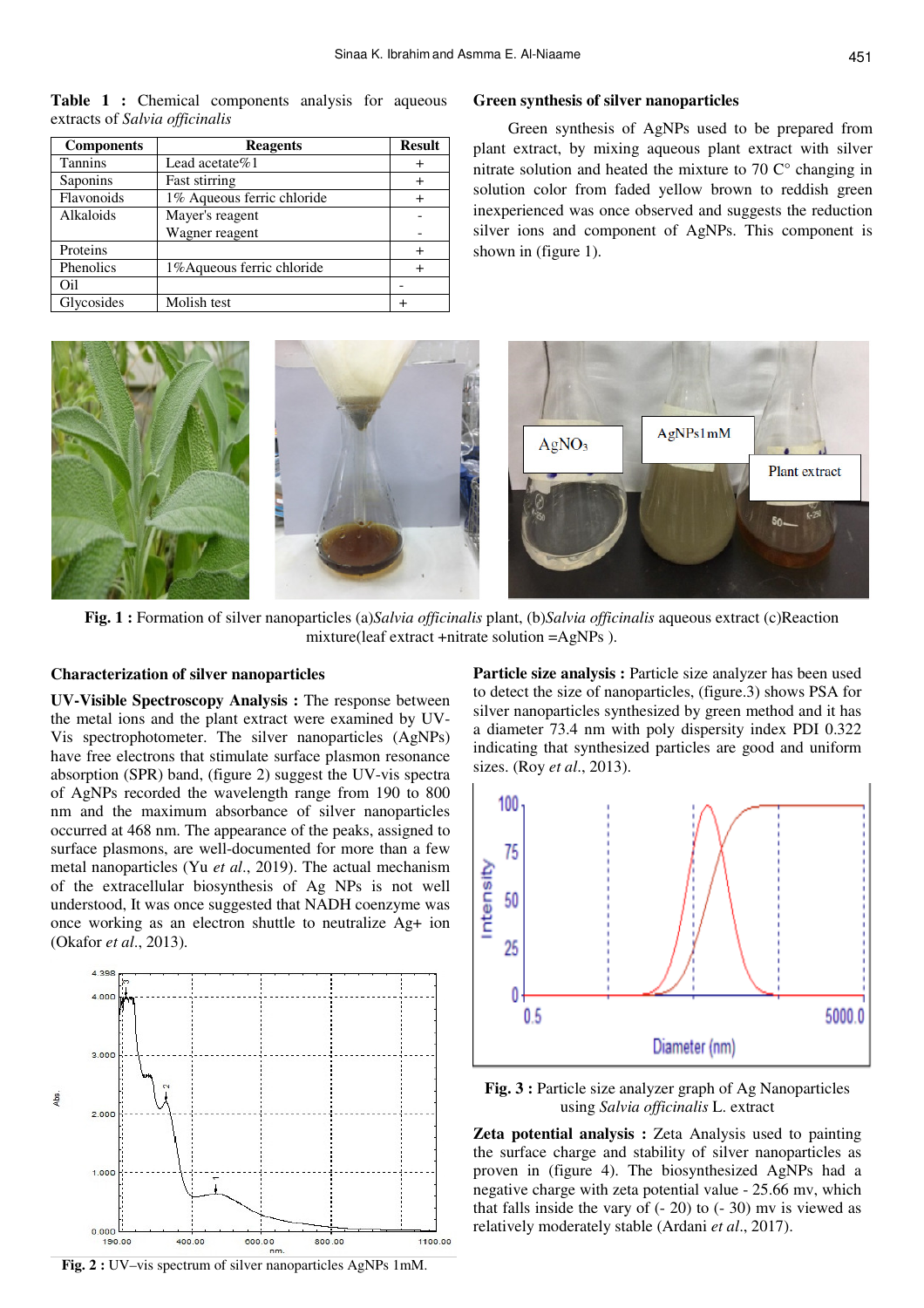**Table 1 :** Chemical components analysis for aqueous extracts of *Salvia officinalis*

| <b>Components</b> | <b>Reagents</b>            | <b>Result</b> |
|-------------------|----------------------------|---------------|
| <b>Tannins</b>    | Lead acetate $%1$          |               |
| Saponins          | <b>Fast stirring</b>       |               |
| Flavonoids        | 1% Aqueous ferric chloride |               |
| Alkaloids         | Mayer's reagent            |               |
|                   | Wagner reagent             |               |
| Proteins          |                            |               |
| Phenolics         | 1% Aqueous ferric chloride |               |
| Oil               |                            |               |
| Glycosides        | Molish test                |               |

#### **Green synthesis of silver nanoparticles**

Green synthesis of AgNPs used to be prepared from plant extract, by mixing aqueous plant extract with silver nitrate solution and heated the mixture to  $70 \degree$  changing in solution color from faded yellow brown to reddish green inexperienced was once observed and suggests the reduction silver ions and component of AgNPs. This component is shown in (figure 1).



**Fig. 1 :** Formation of silver nanoparticles (a)*Salvia officinalis* plant, (b)*Salvia officinalis* aqueous extract (c)Reaction mixture(leaf extract +nitrate solution =AgNPs ).

## **Characterization of silver nanoparticles**

**UV-Visible Spectroscopy Analysis :** The response between the metal ions and the plant extract were examined by UV-Vis spectrophotometer. The silver nanoparticles (AgNPs) have free electrons that stimulate surface plasmon resonance absorption (SPR) band, (figure 2) suggest the UV-vis spectra of AgNPs recorded the wavelength range from 190 to 800 nm and the maximum absorbance of silver nanoparticles occurred at 468 nm. The appearance of the peaks, assigned to surface plasmons, are well-documented for more than a few metal nanoparticles (Yu *et al*., 2019). The actual mechanism of the extracellular biosynthesis of Ag NPs is not well understood, It was once suggested that NADH coenzyme was once working as an electron shuttle to neutralize Ag+ ion (Okafor *et al*., 2013).



**Fig. 2 :** UV–vis spectrum of silver nanoparticles AgNPs 1mM.

Particle size analysis : Particle size analyzer has been used to detect the size of nanoparticles, (figure.3) shows PSA for silver nanoparticles synthesized by green method and it has a diameter 73.4 nm with poly dispersity index PDI 0.322 indicating that synthesized particles are good and uniform sizes. (Roy *et al*., 2013).



**Fig. 3 :** Particle size analyzer graph of Ag Nanoparticles using *Salvia officinalis* L. extract

**Zeta potential analysis :** Zeta Analysis used to painting the surface charge and stability of silver nanoparticles as proven in (figure 4). The biosynthesized AgNPs had a negative charge with zeta potential value - 25.66 mv, which that falls inside the vary of  $(-20)$  to  $(-30)$  mv is viewed as relatively moderately stable (Ardani *et al*., 2017).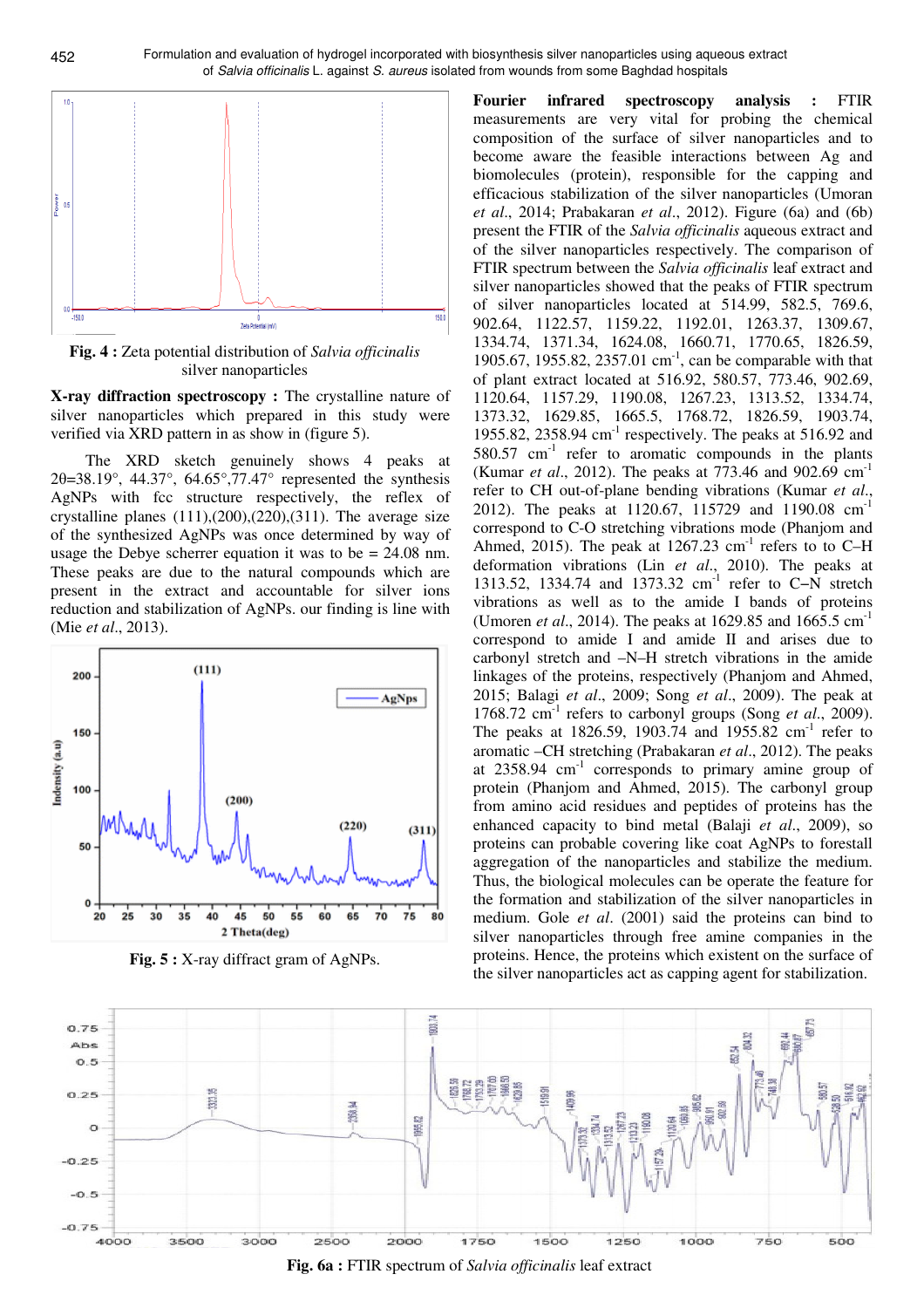

**Fig. 4 :** Zeta potential distribution of *Salvia officinalis* silver nanoparticles

**X-ray diffraction spectroscopy :** The crystalline nature of silver nanoparticles which prepared in this study were verified via XRD pattern in as show in (figure 5).

The XRD sketch genuinely shows 4 peaks at 2θ=38.19°, 44.37°, 64.65°,77.47° represented the synthesis AgNPs with fcc structure respectively, the reflex of crystalline planes  $(111),(200),(220),(311)$ . The average size of the synthesized AgNPs was once determined by way of usage the Debye scherrer equation it was to be = 24.08 nm. These peaks are due to the natural compounds which are present in the extract and accountable for silver ions reduction and stabilization of AgNPs. our finding is line with (Mie *et al*., 2013).



**Fig. 5 :** X-ray diffract gram of AgNPs.

**Fourier infrared spectroscopy analysis :** FTIR measurements are very vital for probing the chemical composition of the surface of silver nanoparticles and to become aware the feasible interactions between Ag and biomolecules (protein), responsible for the capping and efficacious stabilization of the silver nanoparticles (Umoran *et al*., 2014; Prabakaran *et al*., 2012). Figure (6a) and (6b) present the FTIR of the *Salvia officinalis* aqueous extract and of the silver nanoparticles respectively. The comparison of FTIR spectrum between the *Salvia officinalis* leaf extract and silver nanoparticles showed that the peaks of FTIR spectrum of silver nanoparticles located at 514.99, 582.5, 769.6, 902.64, 1122.57, 1159.22, 1192.01, 1263.37, 1309.67, 1334.74, 1371.34, 1624.08, 1660.71, 1770.65, 1826.59, 1905.67, 1955.82, 2357.01 cm<sup>-1</sup>, can be comparable with that of plant extract located at 516.92, 580.57, 773.46, 902.69, 1120.64, 1157.29, 1190.08, 1267.23, 1313.52, 1334.74, 1373.32, 1629.85, 1665.5, 1768.72, 1826.59, 1903.74, 1955.82, 2358.94 cm-1 respectively. The peaks at 516.92 and  $580.57$  cm<sup>-1</sup> refer to aromatic compounds in the plants (Kumar *et al*., 2012). The peaks at 773.46 and 902.69 cm-1 refer to CH out-of-plane bending vibrations (Kumar *et al*., 2012). The peaks at 1120.67, 115729 and 1190.08 cm<sup>-1</sup> correspond to C-O stretching vibrations mode (Phanjom and Ahmed, 2015). The peak at  $1267.23$  cm<sup>-1</sup> refers to to C-H deformation vibrations (Lin *et al*., 2010). The peaks at 1313.52, 1334.74 and 1373.32 cm-1 refer to C−N stretch vibrations as well as to the amide I bands of proteins (Umoren *et al*., 2014). The peaks at 1629.85 and 1665.5 cm-1 correspond to amide I and amide II and arises due to carbonyl stretch and –N–H stretch vibrations in the amide linkages of the proteins, respectively (Phanjom and Ahmed, 2015; Balagi *et al*., 2009; Song *et al*., 2009). The peak at 1768.72  $\text{cm}^{-1}$  refers to carbonyl groups (Song *et al.*, 2009). The peaks at 1826.59, 1903.74 and 1955.82  $cm^{-1}$  refer to aromatic –CH stretching (Prabakaran *et al*., 2012). The peaks at  $2358.94$  cm<sup>-1</sup> corresponds to primary amine group of protein (Phanjom and Ahmed, 2015). The carbonyl group from amino acid residues and peptides of proteins has the enhanced capacity to bind metal (Balaji *et al*., 2009), so proteins can probable covering like coat AgNPs to forestall aggregation of the nanoparticles and stabilize the medium. Thus, the biological molecules can be operate the feature for the formation and stabilization of the silver nanoparticles in medium. Gole *et al*. (2001) said the proteins can bind to silver nanoparticles through free amine companies in the proteins. Hence, the proteins which existent on the surface of the silver nanoparticles act as capping agent for stabilization.



**Fig. 6a :** FTIR spectrum of *Salvia officinalis* leaf extract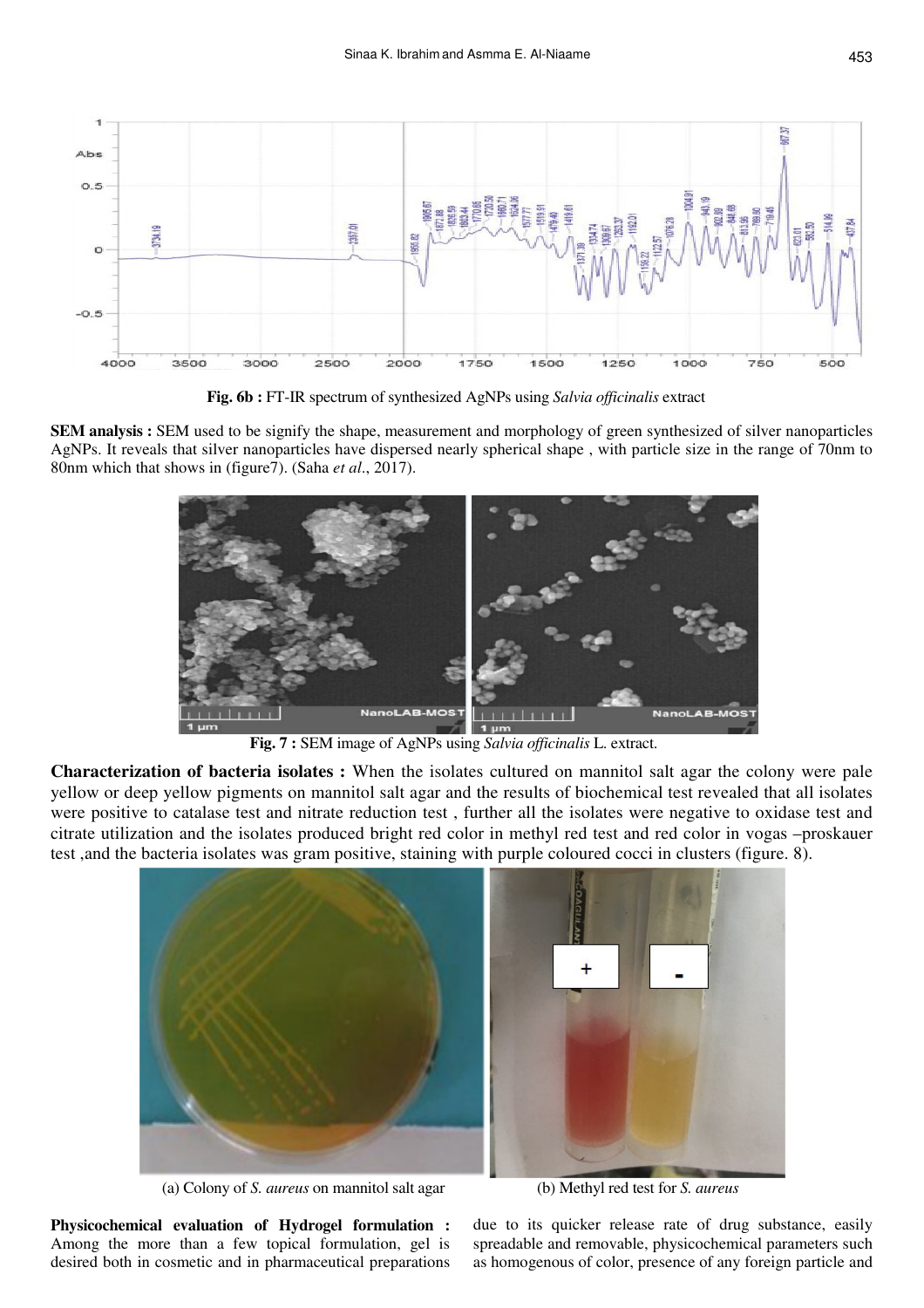

**Fig. 6b :** FT-IR spectrum of synthesized AgNPs using *Salvia officinalis* extract

**SEM analysis :** SEM used to be signify the shape, measurement and morphology of green synthesized of silver nanoparticles AgNPs. It reveals that silver nanoparticles have dispersed nearly spherical shape , with particle size in the range of 70nm to 80nm which that shows in (figure7). (Saha *et al*., 2017).



**Fig. 7 :** SEM image of AgNPs using *Salvia officinalis* L. extract.

**Characterization of bacteria isolates :** When the isolates cultured on mannitol salt agar the colony were pale yellow or deep yellow pigments on mannitol salt agar and the results of biochemical test revealed that all isolates were positive to catalase test and nitrate reduction test , further all the isolates were negative to oxidase test and citrate utilization and the isolates produced bright red color in methyl red test and red color in vogas –proskauer test ,and the bacteria isolates was gram positive, staining with purple coloured cocci in clusters (figure. 8).



(a) Colony of *S. aureus* on mannitol salt agar (b) Methyl red test for *S. aureus*

**Physicochemical evaluation of Hydrogel formulation :**  Among the more than a few topical formulation, gel is desired both in cosmetic and in pharmaceutical preparations

due to its quicker release rate of drug substance, easily spreadable and removable, physicochemical parameters such as homogenous of color, presence of any foreign particle and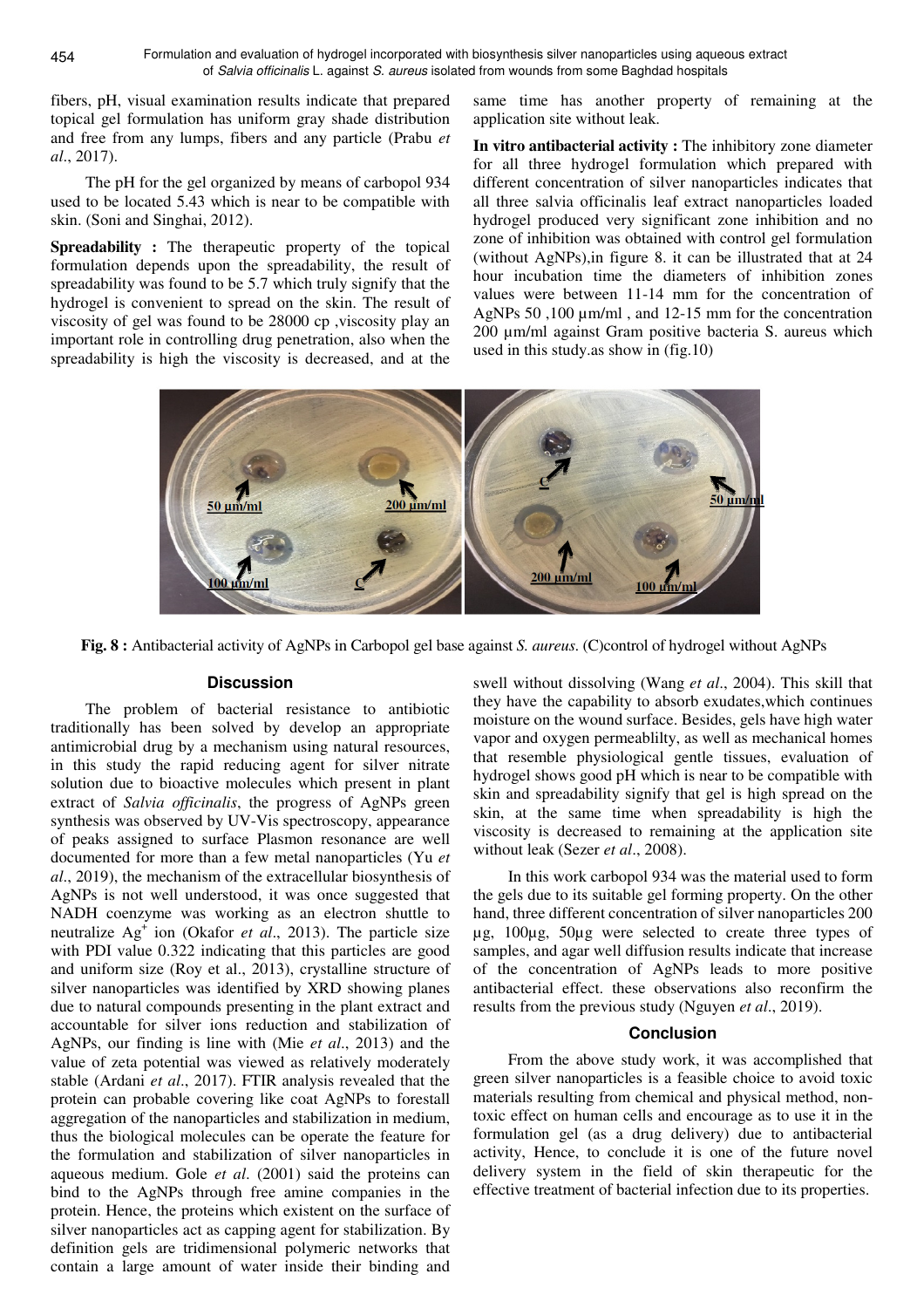fibers, pH, visual examination results indicate that prepared topical gel formulation has uniform gray shade distribution and free from any lumps, fibers and any particle (Prabu *et al*., 2017).

The pH for the gel organized by means of carbopol 934 used to be located 5.43 which is near to be compatible with skin. (Soni and Singhai, 2012).

**Spreadability :** The therapeutic property of the topical formulation depends upon the spreadability, the result of spreadability was found to be 5.7 which truly signify that the hydrogel is convenient to spread on the skin. The result of viscosity of gel was found to be 28000 cp ,viscosity play an important role in controlling drug penetration, also when the spreadability is high the viscosity is decreased, and at the

same time has another property of remaining at the application site without leak.

**In vitro antibacterial activity :** The inhibitory zone diameter for all three hydrogel formulation which prepared with different concentration of silver nanoparticles indicates that all three salvia officinalis leaf extract nanoparticles loaded hydrogel produced very significant zone inhibition and no zone of inhibition was obtained with control gel formulation (without AgNPs),in figure 8. it can be illustrated that at 24 hour incubation time the diameters of inhibition zones values were between 11-14 mm for the concentration of AgNPs 50,100  $\mu$ m/ml, and 12-15 mm for the concentration 200 µm/ml against Gram positive bacteria S. aureus which used in this study.as show in (fig.10)



**Fig. 8 :** Antibacterial activity of AgNPs in Carbopol gel base against *S. aureus*. (C)control of hydrogel without AgNPs

## **Discussion**

The problem of bacterial resistance to antibiotic traditionally has been solved by develop an appropriate antimicrobial drug by a mechanism using natural resources, in this study the rapid reducing agent for silver nitrate solution due to bioactive molecules which present in plant extract of *Salvia officinalis*, the progress of AgNPs green synthesis was observed by UV-Vis spectroscopy, appearance of peaks assigned to surface Plasmon resonance are well documented for more than a few metal nanoparticles (Yu *et al*., 2019), the mechanism of the extracellular biosynthesis of AgNPs is not well understood, it was once suggested that NADH coenzyme was working as an electron shuttle to neutralize Ag<sup>+</sup> ion (Okafor *et al*., 2013). The particle size with PDI value 0.322 indicating that this particles are good and uniform size (Roy et al., 2013), crystalline structure of silver nanoparticles was identified by XRD showing planes due to natural compounds presenting in the plant extract and accountable for silver ions reduction and stabilization of AgNPs, our finding is line with (Mie *et al*., 2013) and the value of zeta potential was viewed as relatively moderately stable (Ardani *et al*., 2017). FTIR analysis revealed that the protein can probable covering like coat AgNPs to forestall aggregation of the nanoparticles and stabilization in medium, thus the biological molecules can be operate the feature for the formulation and stabilization of silver nanoparticles in aqueous medium. Gole *et al*. (2001) said the proteins can bind to the AgNPs through free amine companies in the protein. Hence, the proteins which existent on the surface of silver nanoparticles act as capping agent for stabilization. By definition gels are tridimensional polymeric networks that contain a large amount of water inside their binding and

swell without dissolving (Wang *et al*., 2004). This skill that they have the capability to absorb exudates,which continues moisture on the wound surface. Besides, gels have high water vapor and oxygen permeablilty, as well as mechanical homes that resemble physiological gentle tissues, evaluation of hydrogel shows good pH which is near to be compatible with skin and spreadability signify that gel is high spread on the skin, at the same time when spreadability is high the viscosity is decreased to remaining at the application site without leak (Sezer *et al*., 2008).

In this work carbopol 934 was the material used to form the gels due to its suitable gel forming property. On the other hand, three different concentration of silver nanoparticles 200 µg, 100µg, 50µg were selected to create three types of samples, and agar well diffusion results indicate that increase of the concentration of AgNPs leads to more positive antibacterial effect. these observations also reconfirm the results from the previous study (Nguyen *et al*., 2019).

## **Conclusion**

From the above study work, it was accomplished that green silver nanoparticles is a feasible choice to avoid toxic materials resulting from chemical and physical method, nontoxic effect on human cells and encourage as to use it in the formulation gel (as a drug delivery) due to antibacterial activity, Hence, to conclude it is one of the future novel delivery system in the field of skin therapeutic for the effective treatment of bacterial infection due to its properties.

454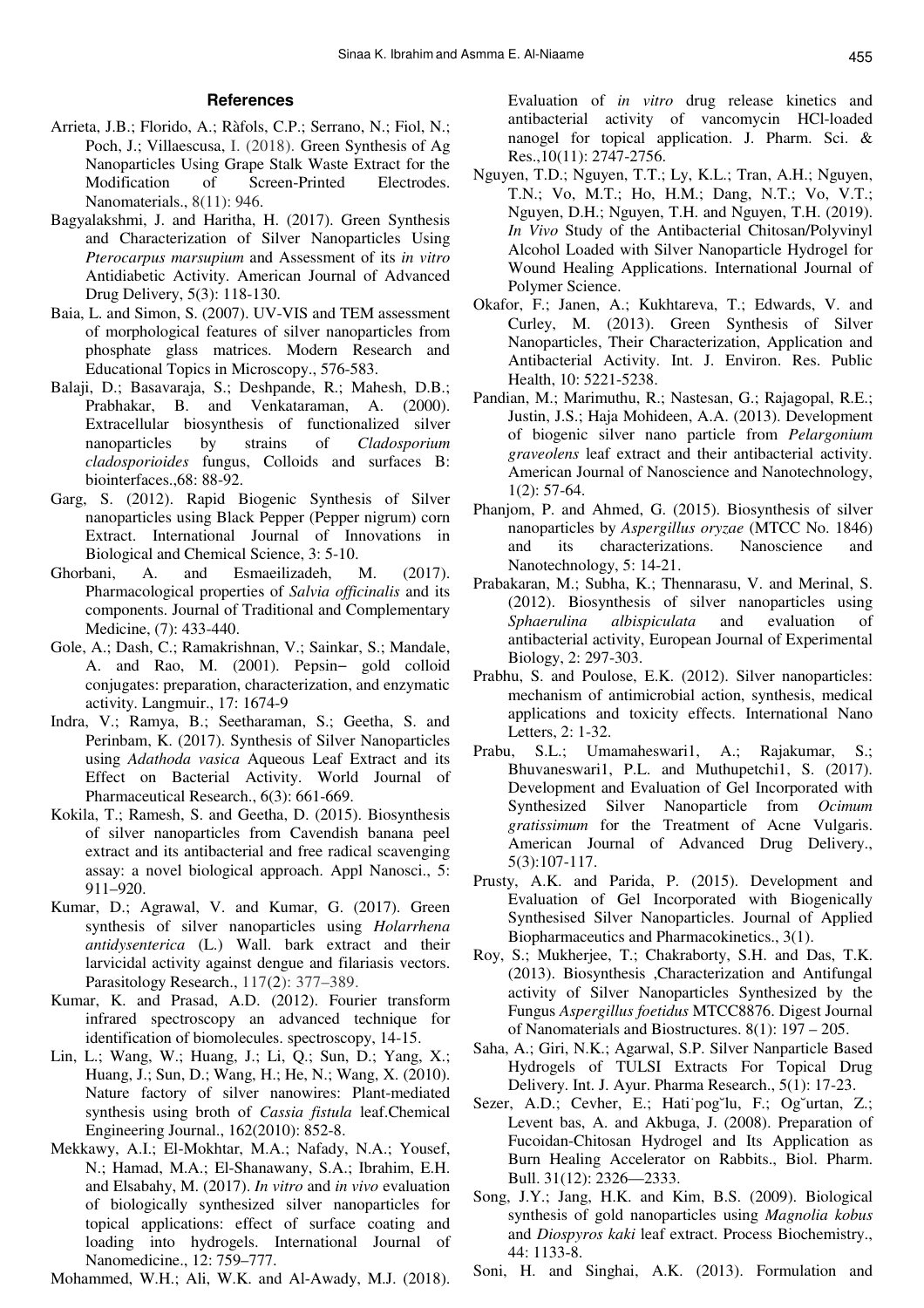## **References**

- Arrieta, J.B.; Florido, A.; Ràfols, C.P.; Serrano, N.; Fiol, N.; Poch, J.; Villaescusa, I. (2018). Green Synthesis of Ag Nanoparticles Using Grape Stalk Waste Extract for the Modification of Screen-Printed Electrodes. Nanomaterials., 8(11): 946.
- Bagyalakshmi, J. and Haritha, H. (2017). Green Synthesis and Characterization of Silver Nanoparticles Using *Pterocarpus marsupium* and Assessment of its *in vitro* Antidiabetic Activity. American Journal of Advanced Drug Delivery, 5(3): 118-130.
- Baia, L. and Simon, S. (2007). UV-VIS and TEM assessment of morphological features of silver nanoparticles from phosphate glass matrices. Modern Research and Educational Topics in Microscopy., 576-583.
- Balaji, D.; Basavaraja, S.; Deshpande, R.; Mahesh, D.B.; Prabhakar, B. and Venkataraman, A. (2000). Extracellular biosynthesis of functionalized silver nanoparticles by strains of *Cladosporium cladosporioides* fungus, Colloids and surfaces B: biointerfaces.,68: 88-92.
- Garg, S. (2012). Rapid Biogenic Synthesis of Silver nanoparticles using Black Pepper (Pepper nigrum) corn Extract. International Journal of Innovations in Biological and Chemical Science, 3: 5-10.
- Ghorbani, A. and Esmaeilizadeh, M. (2017). Pharmacological properties of *Salvia officinalis* and its components. Journal of Traditional and Complementary Medicine, (7): 433-440.
- Gole, A.; Dash, C.; Ramakrishnan, V.; Sainkar, S.; Mandale, A. and Rao, M. (2001). Pepsin− gold colloid conjugates: preparation, characterization, and enzymatic activity. Langmuir., 17: 1674-9
- Indra, V.; Ramya, B.; Seetharaman, S.; Geetha, S. and Perinbam, K. (2017). Synthesis of Silver Nanoparticles using *Adathoda vasica* Aqueous Leaf Extract and its Effect on Bacterial Activity. World Journal of Pharmaceutical Research., 6(3): 661-669.
- Kokila, T.; Ramesh, S. and Geetha, D. (2015). Biosynthesis of silver nanoparticles from Cavendish banana peel extract and its antibacterial and free radical scavenging assay: a novel biological approach. Appl Nanosci., 5: 911–920.
- Kumar, D.; Agrawal, V. and Kumar, G. (2017). Green synthesis of silver nanoparticles using *Holarrhena antidysenterica* (L.) Wall. bark extract and their larvicidal activity against dengue and filariasis vectors. Parasitology Research., 117(2): 377–389.
- Kumar, K. and Prasad, A.D. (2012). Fourier transform infrared spectroscopy an advanced technique for identification of biomolecules. spectroscopy, 14-15.
- Lin, L.; Wang, W.; Huang, J.; Li, Q.; Sun, D.; Yang, X.; Huang, J.; Sun, D.; Wang, H.; He, N.; Wang, X. (2010). Nature factory of silver nanowires: Plant-mediated synthesis using broth of *Cassia fistula* leaf.Chemical Engineering Journal., 162(2010): 852-8.
- Mekkawy, A.I.; El-Mokhtar, M.A.; Nafady, N.A.; Yousef, N.; Hamad, M.A.; El-Shanawany, S.A.; Ibrahim, E.H. and Elsabahy, M. (2017). *In vitro* and *in vivo* evaluation of biologically synthesized silver nanoparticles for topical applications: effect of surface coating and loading into hydrogels. International Journal of Nanomedicine., 12: 759–777.

Mohammed, W.H.; Ali, W.K. and Al-Awady, M.J. (2018).

Evaluation of *in vitro* drug release kinetics and antibacterial activity of vancomycin HCl-loaded nanogel for topical application. J. Pharm. Sci. & Res.,10(11): 2747-2756.

- Nguyen, T.D.; Nguyen, T.T.; Ly, K.L.; Tran, A.H.; Nguyen, T.N.; Vo, M.T.; Ho, H.M.; Dang, N.T.; Vo, V.T.; Nguyen, D.H.; Nguyen, T.H. and Nguyen, T.H. (2019). *In Vivo* Study of the Antibacterial Chitosan/Polyvinyl Alcohol Loaded with Silver Nanoparticle Hydrogel for Wound Healing Applications. International Journal of Polymer Science.
- Okafor, F.; Janen, A.; Kukhtareva, T.; Edwards, V. and Curley, M. (2013). Green Synthesis of Silver Nanoparticles, Their Characterization, Application and Antibacterial Activity. Int. J. Environ. Res. Public Health, 10: 5221-5238.
- Pandian, M.; Marimuthu, R.; Nastesan, G.; Rajagopal, R.E.; Justin, J.S.; Haja Mohideen, A.A. (2013). Development of biogenic silver nano particle from *Pelargonium graveolens* leaf extract and their antibacterial activity. American Journal of Nanoscience and Nanotechnology, 1(2): 57-64.
- Phanjom, P. and Ahmed, G. (2015). Biosynthesis of silver nanoparticles by *Aspergillus oryzae* (MTCC No. 1846) and its characterizations. Nanoscience and Nanotechnology, 5: 14-21.
- Prabakaran, M.; Subha, K.; Thennarasu, V. and Merinal, S. (2012). Biosynthesis of silver nanoparticles using *Sphaerulina albispiculata* and evaluation of antibacterial activity, European Journal of Experimental Biology, 2: 297-303.
- Prabhu, S. and Poulose, E.K. (2012). Silver nanoparticles: mechanism of antimicrobial action, synthesis, medical applications and toxicity effects. International Nano Letters, 2: 1-32.
- Prabu, S.L.; Umamaheswari1, A.; Rajakumar, S.; Bhuvaneswari1, P.L. and Muthupetchi1, S. (2017). Development and Evaluation of Gel Incorporated with Synthesized Silver Nanoparticle from *Ocimum gratissimum* for the Treatment of Acne Vulgaris. American Journal of Advanced Drug Delivery., 5(3):107-117.
- Prusty, A.K. and Parida, P. (2015). Development and Evaluation of Gel Incorporated with Biogenically Synthesised Silver Nanoparticles. Journal of Applied Biopharmaceutics and Pharmacokinetics., 3(1).
- Roy, S.; Mukherjee, T.; Chakraborty, S.H. and Das, T.K. (2013). Biosynthesis ,Characterization and Antifungal activity of Silver Nanoparticles Synthesized by the Fungus *Aspergillus foetidus* MTCC8876. Digest Journal of Nanomaterials and Biostructures. 8(1): 197 – 205.
- Saha, A.; Giri, N.K.; Agarwal, S.P. Silver Nanparticle Based Hydrogels of TULSI Extracts For Topical Drug Delivery. Int. J. Ayur. Pharma Research., 5(1): 17-23.
- Sezer, A.D.; Cevher, E.; Hati˙pog˘lu, F.; Og˘urtan, Z.; Levent bas, A. and Akbuga, J. (2008). Preparation of Fucoidan-Chitosan Hydrogel and Its Application as Burn Healing Accelerator on Rabbits., Biol. Pharm. Bull. 31(12): 2326—2333.
- Song, J.Y.; Jang, H.K. and Kim, B.S. (2009). Biological synthesis of gold nanoparticles using *Magnolia kobus* and *Diospyros kaki* leaf extract. Process Biochemistry., 44: 1133-8.
- Soni, H. and Singhai, A.K. (2013). Formulation and